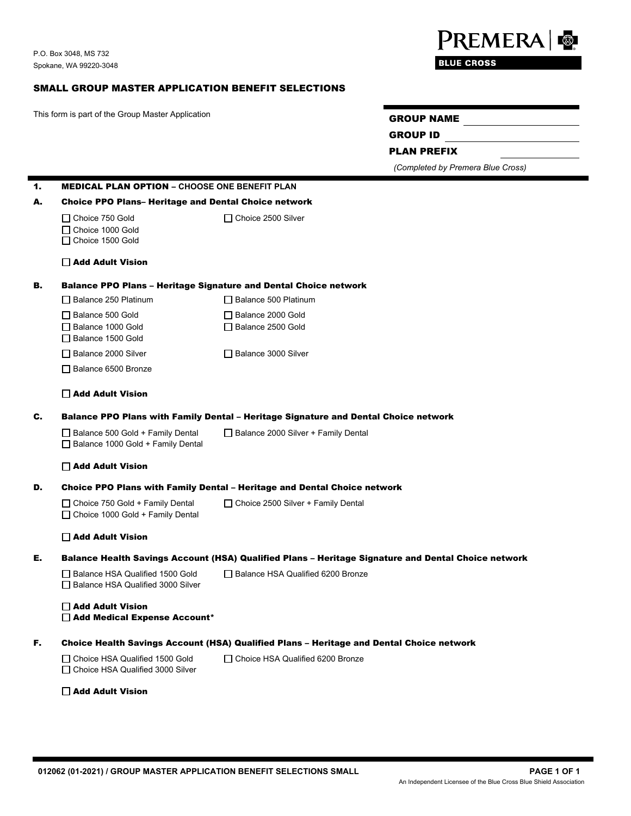## SMALL GROUP MASTER APPLICATION BENEFIT SELECTIONS

This form is part of the Group Master Application GROUP NAME

GROUP ID

PLAN PREFIX

*(Completed by Premera Blue Cross)*

| 1. | <b>MEDICAL PLAN OPTION - CHOOSE ONE BENEFIT PLAN</b>                                                |                                           |
|----|-----------------------------------------------------------------------------------------------------|-------------------------------------------|
| А. | <b>Choice PPO Plans- Heritage and Dental Choice network</b>                                         |                                           |
|    | □ Choice 750 Gold<br>□ Choice 1000 Gold<br>□ Choice 1500 Gold                                       | $\Box$ Choice 2500 Silver                 |
|    | □ Add Adult Vision                                                                                  |                                           |
| в. | <b>Balance PPO Plans - Heritage Signature and Dental Choice network</b>                             |                                           |
|    | $\Box$ Balance 250 Platinum                                                                         | □ Balance 500 Platinum                    |
|    | □ Balance 500 Gold<br>□ Balance 1000 Gold<br>□ Balance 1500 Gold                                    | Balance 2000 Gold<br>□ Balance 2500 Gold  |
|    | □ Balance 2000 Silver                                                                               | □ Balance 3000 Silver                     |
|    | □ Balance 6500 Bronze                                                                               |                                           |
|    | Add Adult Vision                                                                                    |                                           |
| c. | Balance PPO Plans with Family Dental - Heritage Signature and Dental Choice network                 |                                           |
|    | □ Balance 500 Gold + Family Dental<br>Balance 1000 Gold + Family Dental                             | □ Balance 2000 Silver + Family Dental     |
|    | □ Add Adult Vision                                                                                  |                                           |
| D. | <b>Choice PPO Plans with Family Dental - Heritage and Dental Choice network</b>                     |                                           |
|    | $\Box$ Choice 750 Gold + Family Dental<br>$\Box$ Choice 1000 Gold + Family Dental                   | $\Box$ Choice 2500 Silver + Family Dental |
|    | $\Box$ Add Adult Vision                                                                             |                                           |
| Е. | Balance Health Savings Account (HSA) Qualified Plans – Heritage Signature and Dental Choice network |                                           |
|    | □ Balance HSA Qualified 1500 Gold<br>□ Balance HSA Qualified 3000 Silver                            | □ Balance HSA Qualified 6200 Bronze       |
|    | □ Add Adult Vision<br>Add Medical Expense Account*                                                  |                                           |
| F. | Choice Health Savings Account (HSA) Qualified Plans – Heritage and Dental Choice network            |                                           |
|    | $\Box$ Choice HSA Qualified 1500 Gold<br>□ Choice HSA Qualified 3000 Silver                         | $\Box$ Choice HSA Qualified 6200 Bronze   |
|    | $\Box$ Add Adult Vision                                                                             |                                           |